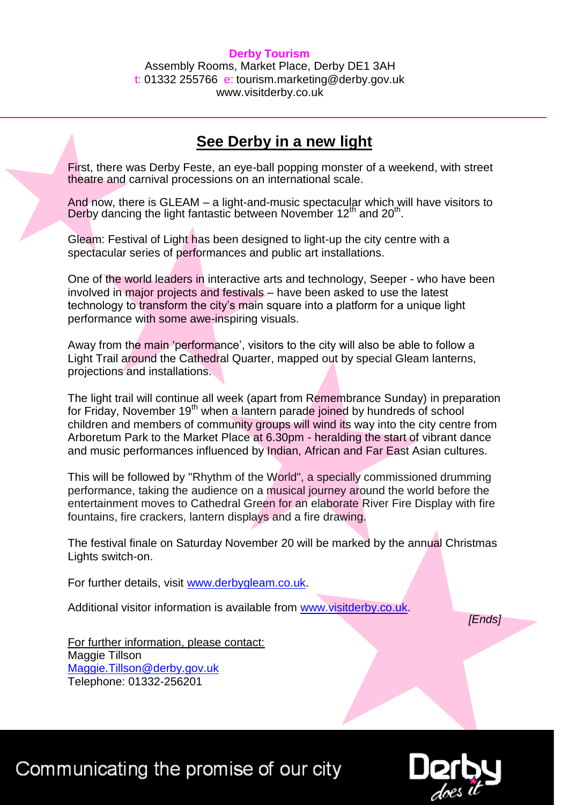## **Derby Tourism**

Assembly Rooms, Market Place, Derby DE1 3AH t: 01332 255766 e: tourism.marketing@derby.gov.uk www.visitderby.co.uk

## **See Derby in a new light**

First, there was Derby Feste, an eye-ball popping monster of a weekend, with street theatre and carnival processions on an international scale.

And now, there is GLEAM – a light-and-music spectacular which will have visitors to Derby dancing the light fantastic between November  $12<sup>th</sup>$  and  $20<sup>th</sup>$ .

Gleam: Festival of Light has been designed to light-up the city centre with a spectacular series of performances and public art installations.

One of the world leaders in interactive arts and technology, Seeper - who have been involved in major projects and festivals – have been asked to use the latest technology to transform the city's main square into a platform for a unique light performance with some awe-inspiring visuals.

Away from the main 'performance', visitors to the city will also be able to follow a Light Trail around the Cathedral Quarter, mapped out by special Gleam lanterns, projections and installations.

The light trail will continue all week (apart from Remembrance Sunday) in preparation for Friday, November 19<sup>th</sup> when a lantern parade joined by hundreds of school children and members of community groups will wind its way into the city centre from Arboretum Park to the Market Place at 6.30pm - heralding the start of vibrant dance and music performances influenced by Indian, African and Far East Asian cultures.

This will be followed by "Rhythm of the World", a specially commissioned drumming performance, taking the audience on a musical journey around the world before the entertainment moves to Cathedral Green for an elaborate River Fire Display with fire fountains, fire crackers, lantern displays and a fire drawing.

The festival finale on Saturday November 20 will be marked by the annual Christmas Lights switch-on.

For further details, visit [www.derbygleam.co.uk.](http://www.derbygleam.co.uk/)

Additional visitor information is available from [www.visitderby.co.uk.](http://www.visitderby.co.uk/)

*[Ends]*

For further information, please contact: Maggie Tillson [Maggie.Tillson@derby.gov.uk](mailto:Maggie.Tillson@derby.gov.uk) Telephone: 01332-256201

Communicating the promise of our city